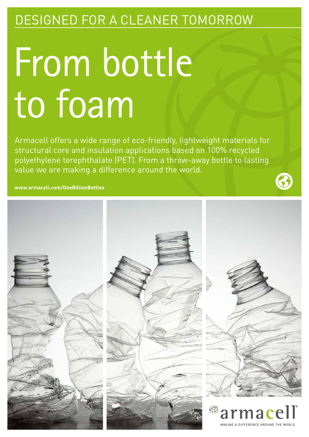# DESIGNED FOR A CLEANER TOMORROW

# From bottle to foam

Armacell offers a wide range of eco-friendly, lightweight materials for structural core and insulation applications based on 100% recycled polyethylene terephthalate (PET). From a throw-away bottle to lasting value we are making a difference around the world.

3

**www.armacell.com/OneBillionBottles**

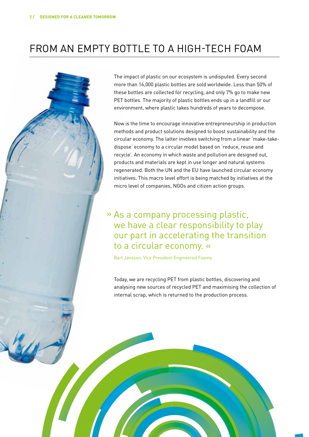# FROM AN EMPTY BOTTLE TO A HIGH-TECH FOAM

The impact of plastic on our ecosystem is undisputed. Every second more than 16,000 plastic bottles are sold worldwide. Less than 50% of these bottles are collected for recycling, and only 7% go to make new PET bottles. The majority of plastic bottles ends up in a landfill or our environment, where plastic takes hundreds of years to decompose.

Now is the time to encourage innovative entrepreneurship in production methods and product solutions designed to boost sustainability and the circular economy. The latter involves switching from a linear 'make-takedispose' economy to a circular model based on 'reduce, reuse and recycle'. An economy in which waste and pollution are designed out, products and materials are kept in use longer and natural systems regenerated. Both the UN and the EU have launched circular economy initiatives. This macro level effort is being matched by initiatives at the micro level of companies, NGOs and citizen action groups.

#### » As a company processing plastic, we have a clear responsibility to play our part in accelerating the transition to a circular economy. «

Bart Janssen, Vice President Engineered Foams

Today, we are recycling PET from plastic bottles, discovering and analysing new sources of recycled PET and maximising the collection of internal scrap, which is returned to the production process.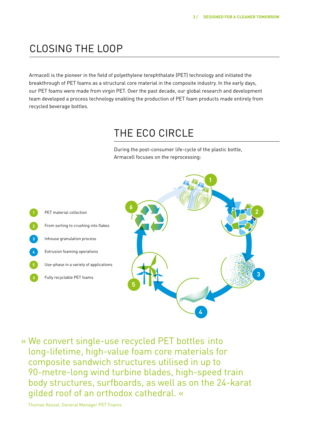## CLOSING THE LOOP

Armacell is the pioneer in the field of polyethylene terephthalate (PET) technology and initiated the breakthrough of PET foams as a structural core material in the composite industry. In the early days, our PET foams were made from virgin PET. Over the past decade, our global research and development team developed a process technology enabling the production of PET foam products made entirely from recycled beverage bottles.

#### THE FCO CIRCLE

During the post-consumer life-cycle of the plastic bottle, Armacell focuses on the reprocessing:





» We convert single-use recycled PET bottles into long-lifetime, high-value foam core materials for composite sandwich structures utilised in up to 90-metre-long wind turbine blades, high-speed train body structures, surfboards, as well as on the 24-karat gilded roof of an orthodox cathedral. «

Thomas Kessel, General Manager PET Foams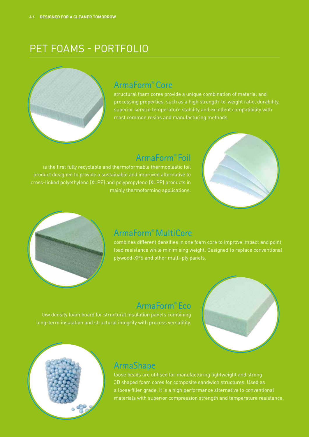# PET FOAMS - PORTFOLIO



#### ArmaForm® Core

structural foam cores provide a unique combination of material and processing properties, such as a high strength-to-weight ratio, durability, superior service temperature stability and excellent compatibility with most common resins and manufacturing methods.

#### ArmaForm® Foil

is the first fully recyclable and thermoformable thermoplastic foil product designed to provide a sustainable and improved alternative to cross-linked polyethylene (XLPE) and polypropylene (XLPP) products in mainly thermoforming applications.





#### ArmaForm® MultiCore

combines different densities in one foam core to improve impact and point load resistance while minimising weight. Designed to replace conventional plywood-XPS and other multi-ply panels.

#### ArmaForm® Eco

low density foam board for structural insulation panels combining long-term insulation and structural integrity with process versatility.





#### ArmaShape

loose beads are utilised for manufacturing lightweight and strong 3D shaped foam cores for composite sandwich structures. Used as a loose filler grade, it is a high performance alternative to conventional materials with superior compression strength and temperature resistance.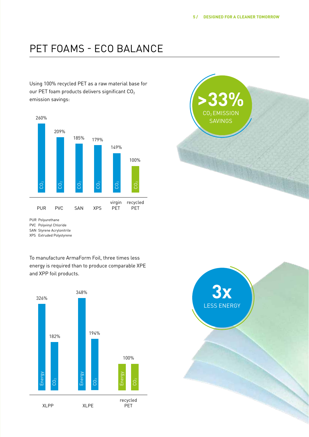**AISSION** 

SAVINGS

#### PET FOAMS - ECO BALANCE

Using 100% recycled PET as a raw material base for our PET foam products delivers significant CO2 emission savings: **>33%**





PVC Polyvinyl Chloride SAN Styrene Acrylonitrile

XPS Extruded Polystyrene

To manufacture ArmaForm Foil, three times less energy is required than to produce comparable XPE and XPP foil products.



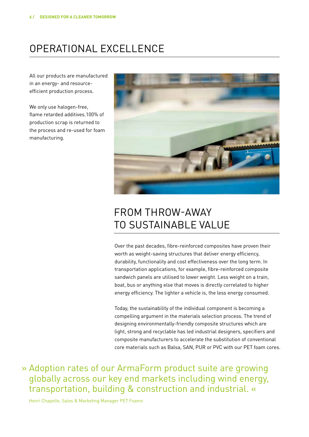# OPERATIONAL EXCELLENCE

All our products are manufactured in an energy- and resourceefficient production process.

We only use halogen-free, flame retarded additives.100% of production scrap is returned to the process and re-used for foam manufacturing.



# FROM THROW-AWAY TO SUSTAINABLE VALUE

Over the past decades, fibre-reinforced composites have proven their worth as weight-saving structures that deliver energy efficiency, durability, functionality and cost effectiveness over the long term. In transportation applications, for example, fibre-reinforced composite sandwich panels are utilised to lower weight. Less weight on a train, boat, bus or anything else that moves is directly correlated to higher energy efficiency. The lighter a vehicle is, the less energy consumed.

Today, the sustainability of the individual component is becoming a compelling argument in the materials selection process. The trend of designing environmentally-friendly composite structures which are light, strong and recyclable has led industrial designers, specifiers and composite manufacturers to accelerate the substitution of conventional core materials such as Balsa, SAN, PUR or PVC with our PET foam cores.

» Adoption rates of our ArmaForm product suite are growing globally across our key end markets including wind energy, transportation, building & construction and industrial. «

Henri Chapelle, Sales & Marketing Manager PET Foams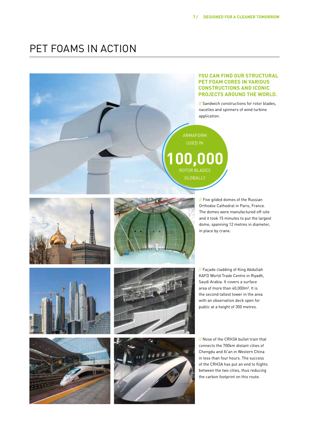### PET FOAMS IN ACTION

#### **YOU CAN FIND OUR STRUCTURAL PET FOAM CORES IN VARIOUS CONSTRUCTIONS AND ICONIC PROJECTS AROUND THE WORLD.**

// Sandwich constructions for rotor blades, nacelles and spinners of wind turbine application.

#### ARMAFORM USED IN **100,000** ROTOR BLADES GLOBALLY





// Five gilded domes of the Russian Orthodox Cathedral in Paris, France. The domes were manufactured off-site and it took 15 minutes to put the largest dome, spanning 12 metres in diameter, in place by crane.









// Façade cladding of King Abdullah KAFD World Trade Centre in Riyadh, Saudi Arabia. It covers a surface area of more than 40,000m². It is the second tallest tower in the area with an observation deck open for public at a height of 300 metres.

// Nose of the CRH3A bullet train that connects the 700km distant cities of Chengdu and Xi'an in Western China in less than four hours. The success of the CRH3A has put an end to flights between the two cities, thus reducing the carbon footprint on this route.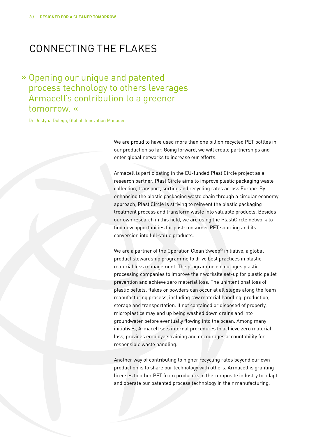## CONNECTING THE FLAKES

#### » Opening our unique and patented process technology to others leverages Armacell's contribution to a greener tomorrow. «

Dr. Justyna Dolega, Global Innovation Manager

We are proud to have used more than one billion recycled PET bottles in our production so far. Going forward, we will create partnerships and enter global networks to increase our efforts.

Armacell is participating in the EU-funded PlastiCircle project as a research partner. PlastiCircle aims to improve plastic packaging waste collection, transport, sorting and recycling rates across Europe. By enhancing the plastic packaging waste chain through a circular economy approach, PlastiCircle is striving to reinvent the plastic packaging treatment process and transform waste into valuable products. Besides our own research in this field, we are using the PlastiCircle network to find new opportunities for post-consumer PET sourcing and its conversion into full-value products.

We are a partner of the Operation Clean Sweep® initiative, a global product stewardship programme to drive best practices in plastic material loss management. The programme encourages plastic processing companies to improve their worksite set-up for plastic pellet prevention and achieve zero material loss. The unintentional loss of plastic pellets, flakes or powders can occur at all stages along the foam manufacturing process, including raw material handling, production, storage and transportation. If not contained or disposed of properly, microplastics may end up being washed down drains and into groundwater before eventually flowing into the ocean. Among many initiatives, Armacell sets internal procedures to achieve zero material loss, provides employee training and encourages accountability for responsible waste handling.

Another way of contributing to higher recycling rates beyond our own production is to share our technology with others. Armacell is granting licenses to other PET foam producers in the composite industry to adapt and operate our patented process technology in their manufacturing.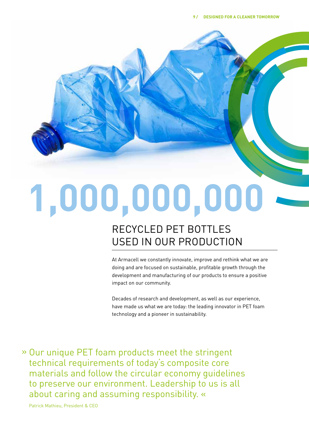# **1,000,000,000**

# RECYCLED PET BOTTLES USED IN OUR PRODUCTION

At Armacell we constantly innovate, improve and rethink what we are doing and are focused on sustainable, profitable growth through the development and manufacturing of our products to ensure a positive impact on our community.

Decades of research and development, as well as our experience, have made us what we are today: the leading innovator in PET foam technology and a pioneer in sustainability.

» Our unique PET foam products meet the stringent technical requirements of today's composite core materials and follow the circular economy guidelines to preserve our environment. Leadership to us is all about caring and assuming responsibility. «

Patrick Mathieu, President & CEO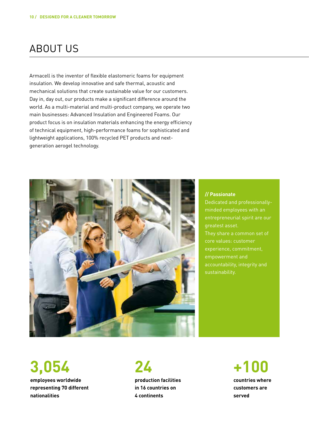## ABOUT US

Armacell is the inventor of flexible elastomeric foams for equipment insulation. We develop innovative and safe thermal, acoustic and mechanical solutions that create sustainable value for our customers. Day in, day out, our products make a significant difference around the world. As a multi-material and multi-product company, we operate two main businesses: Advanced Insulation and Engineered Foams. Our product focus is on insulation materials enhancing the energy efficiency of technical equipment, high-performance foams for sophisticated and lightweight applications, 100% recycled PET products and nextgeneration aerogel technology.



#### **// Passionate**

Dedicated and professionallyminded employees with an entrepreneurial spirit are our greatest asset. experience, commitment, empowerment and accountability, integrity and sustainability.

**3,054 employees worldwide representing 70 different** 

**nationalities** 

**24 production facilities in 16 countries on 4 continents** 

**+100 countries where customers are served**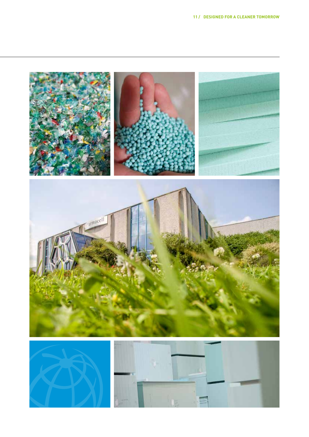